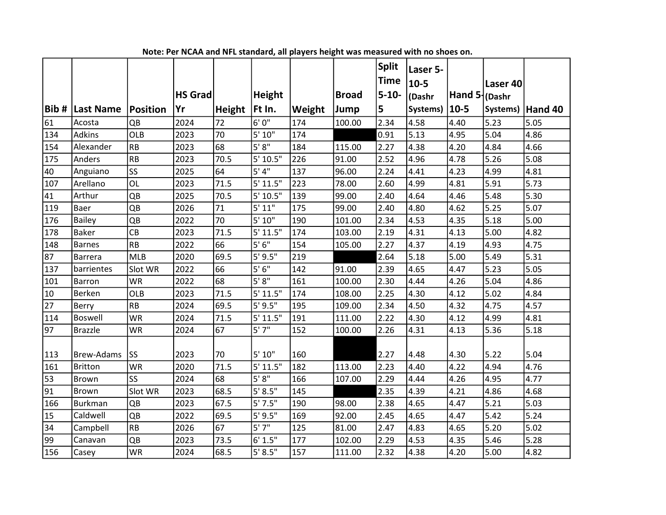|        |                   |            |                |               |               |        |              | Split       | Laser 5- |                 |          |         |
|--------|-------------------|------------|----------------|---------------|---------------|--------|--------------|-------------|----------|-----------------|----------|---------|
|        |                   |            |                |               |               |        |              | <b>Time</b> | $10 - 5$ |                 | Laser 40 |         |
|        |                   |            | <b>HS Grad</b> |               | <b>Height</b> |        | <b>Broad</b> | $5 - 10 -$  | (Dashr   | Hand 5   (Dashr |          |         |
|        | Bib #  Last Name  | Position   | Yr             | <b>Height</b> | Ft In.        | Weight | Jump         | 5           | Systems) | $10 - 5$        | Systems) | Hand 40 |
| 61     | Acosta            | QB         | 2024           | 72            | 6'0''         | 174    | 100.00       | 2.34        | 4.58     | 4.40            | 5.23     | 5.05    |
| 134    | <b>Adkins</b>     | <b>OLB</b> | 2023           | 70            | 5' 10"        | 174    |              | 0.91        | 5.13     | 4.95            | 5.04     | 4.86    |
| 154    | Alexander         | <b>RB</b>  | 2023           | 68            | 5'8''         | 184    | 115.00       | 2.27        | 4.38     | 4.20            | 4.84     | 4.66    |
| 175    | Anders            | <b>RB</b>  | 2023           | 70.5          | 5' 10.5"      | 226    | 91.00        | 2.52        | 4.96     | 4.78            | 5.26     | 5.08    |
| 40     | Anguiano          | SS         | 2025           | 64            | 5' 4''        | 137    | 96.00        | 2.24        | 4.41     | 4.23            | 4.99     | 4.81    |
| 107    | Arellano          | OL         | 2023           | 71.5          | 5' 11.5"      | 223    | 78.00        | 2.60        | 4.99     | 4.81            | 5.91     | 5.73    |
| 41     | Arthur            | QB         | 2025           | 70.5          | 5' 10.5"      | 139    | 99.00        | 2.40        | 4.64     | 4.46            | 5.48     | 5.30    |
| 119    | <b>Baer</b>       | QB         | 2026           | 71            | 5' 11"        | 175    | 99.00        | 2.40        | 4.80     | 4.62            | 5.25     | 5.07    |
| 176    | <b>Bailey</b>     | QB         | 2022           | 70            | 5' 10"        | 190    | 101.00       | 2.34        | 4.53     | 4.35            | 5.18     | 5.00    |
| 178    | Baker             | CB         | 2023           | 71.5          | 5' 11.5"      | 174    | 103.00       | 2.19        | 4.31     | 4.13            | 5.00     | 4.82    |
| 148    | Barnes            | RB         | 2022           | 66            | 5'6''         | 154    | 105.00       | 2.27        | 4.37     | 4.19            | 4.93     | 4.75    |
| 87     | Barrera           | <b>MLB</b> | 2020           | 69.5          | $5'$ 9.5"     | 219    |              | 2.64        | 5.18     | 5.00            | 5.49     | 5.31    |
| 137    | barrientes        | Slot WR    | 2022           | 66            | 5'6''         | 142    | 91.00        | 2.39        | 4.65     | 4.47            | 5.23     | 5.05    |
| 101    | Barron            | <b>WR</b>  | 2022           | 68            | 5' 8''        | 161    | 100.00       | 2.30        | 4.44     | 4.26            | 5.04     | 4.86    |
| $10\,$ | Berken            | OLB        | 2023           | 71.5          | 5' 11.5"      | 174    | 108.00       | 2.25        | 4.30     | 4.12            | 5.02     | 4.84    |
| 27     | Berry             | <b>RB</b>  | 2024           | 69.5          | $5'$ 9.5"     | 195    | 109.00       | 2.34        | 4.50     | 4.32            | 4.75     | 4.57    |
| 114    | Boswell           | <b>WR</b>  | 2024           | 71.5          | 5' 11.5"      | 191    | 111.00       | 2.22        | 4.30     | 4.12            | 4.99     | 4.81    |
| 97     | <b>Brazzle</b>    | <b>WR</b>  | 2024           | 67            | 5'7''         | 152    | 100.00       | 2.26        | 4.31     | 4.13            | 5.36     | 5.18    |
|        |                   |            |                |               |               |        |              |             |          |                 |          |         |
| 113    | <b>Brew-Adams</b> | <b>SS</b>  | 2023           | 70            | 5' 10"        | 160    |              | 2.27        | 4.48     | 4.30            | 5.22     | 5.04    |
| 161    | Britton           | <b>WR</b>  | 2020           | 71.5          | 5' 11.5"      | 182    | 113.00       | 2.23        | 4.40     | 4.22            | 4.94     | 4.76    |
| 53     | Brown             | <b>SS</b>  | 2024           | 68            | 5' 8''        | 166    | 107.00       | 2.29        | 4.44     | 4.26            | 4.95     | 4.77    |
| 91     | Brown             | Slot WR    | 2023           | 68.5          | 5' 8.5"       | 145    |              | 2.35        | 4.39     | 4.21            | 4.86     | 4.68    |
| 166    | Burkman           | QB         | 2023           | 67.5          | 5'7.5''       | 190    | 98.00        | 2.38        | 4.65     | 4.47            | 5.21     | 5.03    |
| 15     | Caldwell          | QB         | 2022           | 69.5          | $5'$ 9.5"     | 169    | 92.00        | 2.45        | 4.65     | 4.47            | 5.42     | 5.24    |
| 34     | Campbell          | RB         | 2026           | 67            | 5'7''         | 125    | 81.00        | 2.47        | 4.83     | 4.65            | 5.20     | 5.02    |
| 99     | Canavan           | QB         | 2023           | 73.5          | 6' 1.5"       | 177    | 102.00       | 2.29        | 4.53     | 4.35            | 5.46     | 5.28    |
| 156    | Casey             | <b>WR</b>  | 2024           | 68.5          | 5' 8.5"       | 157    | 111.00       | 2.32        | 4.38     | 4.20            | 5.00     | 4.82    |

Note: Per NCAA and NFL standard, all players height was measured with no shoes on.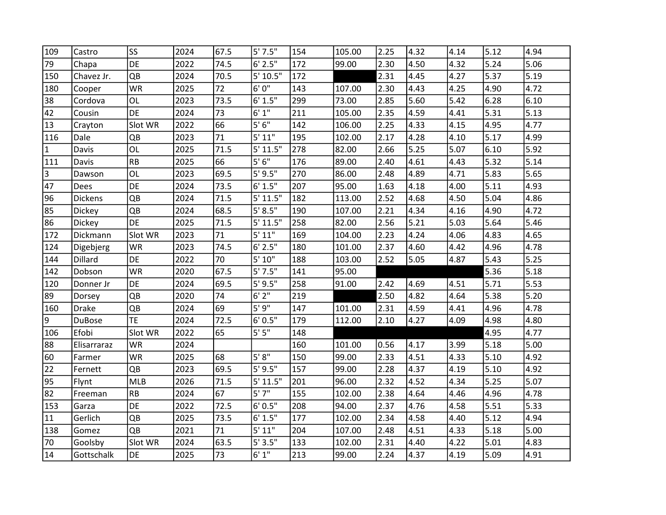| 109          | Castro         | SS         | 2024 | 67.5 | 5'7.5''    | 154 | 105.00 | 2.25 | 4.32 | 4.14 | 5.12 | 4.94 |
|--------------|----------------|------------|------|------|------------|-----|--------|------|------|------|------|------|
| 79           | Chapa          | DE         | 2022 | 74.5 | $6'$ 2.5"  | 172 | 99.00  | 2.30 | 4.50 | 4.32 | 5.24 | 5.06 |
| 150          | Chavez Jr.     | QB         | 2024 | 70.5 | 5' 10.5"   | 172 |        | 2.31 | 4.45 | 4.27 | 5.37 | 5.19 |
| 180          | Cooper         | WR         | 2025 | 72   | 6'0''      | 143 | 107.00 | 2.30 | 4.43 | 4.25 | 4.90 | 4.72 |
| 38           | Cordova        | OL         | 2023 | 73.5 | 6' 1.5"    | 299 | 73.00  | 2.85 | 5.60 | 5.42 | 6.28 | 6.10 |
| 42           | Cousin         | DE         | 2024 | 73   | $6' 1''$   | 211 | 105.00 | 2.35 | 4.59 | 4.41 | 5.31 | 5.13 |
| 13           | Crayton        | Slot WR    | 2022 | 66   | 5'6''      | 142 | 106.00 | 2.25 | 4.33 | 4.15 | 4.95 | 4.77 |
| 116          | Dale           | QB         | 2023 | 71   | 5' 11"     | 195 | 102.00 | 2.17 | 4.28 | 4.10 | 5.17 | 4.99 |
| $\mathbf{1}$ | Davis          | OL         | 2025 | 71.5 | 5' 11.5"   | 278 | 82.00  | 2.66 | 5.25 | 5.07 | 6.10 | 5.92 |
| 111          | Davis          | RB         | 2025 | 66   | 5'6''      | 176 | 89.00  | 2.40 | 4.61 | 4.43 | 5.32 | 5.14 |
| 3            | Dawson         | OL         | 2023 | 69.5 | $5'$ 9.5"  | 270 | 86.00  | 2.48 | 4.89 | 4.71 | 5.83 | 5.65 |
| 47           | Dees           | DE         | 2024 | 73.5 | 6' 1.5"    | 207 | 95.00  | 1.63 | 4.18 | 4.00 | 5.11 | 4.93 |
| 96           | <b>Dickens</b> | QB         | 2024 | 71.5 | 5' 11.5"   | 182 | 113.00 | 2.52 | 4.68 | 4.50 | 5.04 | 4.86 |
| 85           | <b>Dickey</b>  | QB         | 2024 | 68.5 | 5' 8.5"    | 190 | 107.00 | 2.21 | 4.34 | 4.16 | 4.90 | 4.72 |
| 86           | Dickey         | DE         | 2025 | 71.5 | 5' 11.5"   | 258 | 82.00  | 2.56 | 5.21 | 5.03 | 5.64 | 5.46 |
| 172          | Dickmann       | Slot WR    | 2023 | 71   | 5' 11"     | 169 | 104.00 | 2.23 | 4.24 | 4.06 | 4.83 | 4.65 |
| 124          | Digebjerg      | WR         | 2023 | 74.5 | $6'$ 2.5"  | 180 | 101.00 | 2.37 | 4.60 | 4.42 | 4.96 | 4.78 |
| 144          | Dillard        | DE         | 2022 | 70   | $5'$ $10"$ | 188 | 103.00 | 2.52 | 5.05 | 4.87 | 5.43 | 5.25 |
| 142          | Dobson         | <b>WR</b>  | 2020 | 67.5 | 5'7.5''    | 141 | 95.00  |      |      |      | 5.36 | 5.18 |
| 120          | Donner Jr      | DE         | 2024 | 69.5 | $5'$ 9.5"  | 258 | 91.00  | 2.42 | 4.69 | 4.51 | 5.71 | 5.53 |
| 89           | Dorsey         | QB         | 2020 | 74   | 6'2''      | 219 |        | 2.50 | 4.82 | 4.64 | 5.38 | 5.20 |
| 160          | <b>Drake</b>   | QB         | 2024 | 69   | 5'9''      | 147 | 101.00 | 2.31 | 4.59 | 4.41 | 4.96 | 4.78 |
| 9            | <b>DuBose</b>  | <b>TE</b>  | 2024 | 72.5 | 6' 0.5"    | 179 | 112.00 | 2.10 | 4.27 | 4.09 | 4.98 | 4.80 |
| 106          | Efobi          | Slot WR    | 2022 | 65   | $5'$ $5''$ | 148 |        |      |      |      | 4.95 | 4.77 |
| 88           | Elisarraraz    | <b>WR</b>  | 2024 |      |            | 160 | 101.00 | 0.56 | 4.17 | 3.99 | 5.18 | 5.00 |
| 60           | Farmer         | <b>WR</b>  | 2025 | 68   | $5' 8''$   | 150 | 99.00  | 2.33 | 4.51 | 4.33 | 5.10 | 4.92 |
| 22           | Fernett        | QB         | 2023 | 69.5 | $5'$ 9.5"  | 157 | 99.00  | 2.28 | 4.37 | 4.19 | 5.10 | 4.92 |
| 95           | Flynt          | <b>MLB</b> | 2026 | 71.5 | 5' 11.5"   | 201 | 96.00  | 2.32 | 4.52 | 4.34 | 5.25 | 5.07 |
| 82           | Freeman        | RB         | 2024 | 67   | 5'7''      | 155 | 102.00 | 2.38 | 4.64 | 4.46 | 4.96 | 4.78 |
| 153          | Garza          | DE         | 2022 | 72.5 | 6' 0.5"    | 208 | 94.00  | 2.37 | 4.76 | 4.58 | 5.51 | 5.33 |
| $11\,$       | Gerlich        | QB         | 2025 | 73.5 | 6' 1.5"    | 177 | 102.00 | 2.34 | 4.58 | 4.40 | 5.12 | 4.94 |
| 138          | Gomez          | QB         | 2021 | 71   | $5'$ $11"$ | 204 | 107.00 | 2.48 | 4.51 | 4.33 | 5.18 | 5.00 |
| $70\,$       | Goolsby        | Slot WR    | 2024 | 63.5 | 5'3.5"     | 133 | 102.00 | 2.31 | 4.40 | 4.22 | 5.01 | 4.83 |
| 14           | Gottschalk     | DE         | 2025 | 73   | 6' 1''     | 213 | 99.00  | 2.24 | 4.37 | 4.19 | 5.09 | 4.91 |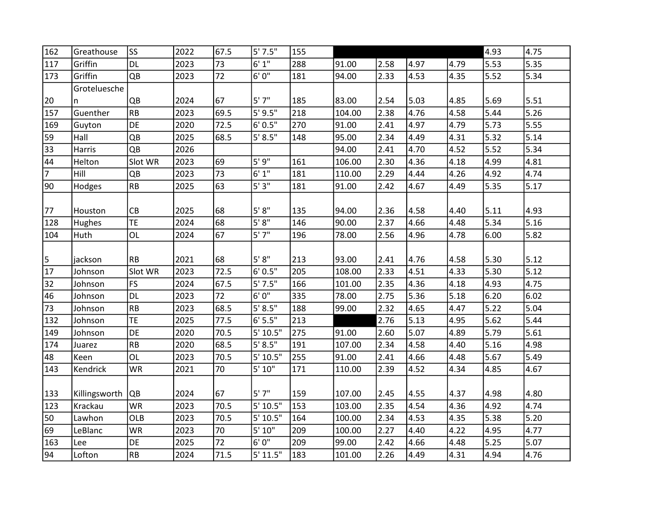| 162            | Greathouse    | SS        | 2022 | 67.5 | 5'7.5''  | 155 |        |      |      |      | 4.93 | 4.75 |
|----------------|---------------|-----------|------|------|----------|-----|--------|------|------|------|------|------|
| 117            | Griffin       | <b>DL</b> | 2023 | 73   | 6'1''    | 288 | 91.00  | 2.58 | 4.97 | 4.79 | 5.53 | 5.35 |
| 173            | Griffin       | QB        | 2023 | 72   | 6'0''    | 181 | 94.00  | 2.33 | 4.53 | 4.35 | 5.52 | 5.34 |
|                | Groteluesche  |           |      |      |          |     |        |      |      |      |      |      |
| 20             | n             | QB        | 2024 | 67   | 5'7''    | 185 | 83.00  | 2.54 | 5.03 | 4.85 | 5.69 | 5.51 |
| 157            | Guenther      | <b>RB</b> | 2023 | 69.5 | 5'9.5''  | 218 | 104.00 | 2.38 | 4.76 | 4.58 | 5.44 | 5.26 |
| 169            | Guyton        | DE        | 2020 | 72.5 | 6' 0.5"  | 270 | 91.00  | 2.41 | 4.97 | 4.79 | 5.73 | 5.55 |
| 59             | Hall          | QB        | 2025 | 68.5 | 5' 8.5'' | 148 | 95.00  | 2.34 | 4.49 | 4.31 | 5.32 | 5.14 |
| 33             | Harris        | QB        | 2026 |      |          |     | 94.00  | 2.41 | 4.70 | 4.52 | 5.52 | 5.34 |
| 44             | Helton        | Slot WR   | 2023 | 69   | 5'9''    | 161 | 106.00 | 2.30 | 4.36 | 4.18 | 4.99 | 4.81 |
| $\overline{7}$ | Hill          | QB        | 2023 | 73   | 6' 1''   | 181 | 110.00 | 2.29 | 4.44 | 4.26 | 4.92 | 4.74 |
| 90             | Hodges        | RB        | 2025 | 63   | 5'3"     | 181 | 91.00  | 2.42 | 4.67 | 4.49 | 5.35 | 5.17 |
|                |               |           |      |      |          |     |        |      |      |      |      |      |
| 77             | Houston       | CB        | 2025 | 68   | 5' 8''   | 135 | 94.00  | 2.36 | 4.58 | 4.40 | 5.11 | 4.93 |
| 128            | Hughes        | <b>TE</b> | 2024 | 68   | 5'8''    | 146 | 90.00  | 2.37 | 4.66 | 4.48 | 5.34 | 5.16 |
| 104            | Huth          | <b>OL</b> | 2024 | 67   | 5'7''    | 196 | 78.00  | 2.56 | 4.96 | 4.78 | 6.00 | 5.82 |
|                |               |           |      |      |          |     |        |      |      |      |      |      |
| 5              | jackson       | <b>RB</b> | 2021 | 68   | $5' 8"$  | 213 | 93.00  | 2.41 | 4.76 | 4.58 | 5.30 | 5.12 |
| 17             | Johnson       | Slot WR   | 2023 | 72.5 | 6' 0.5"  | 205 | 108.00 | 2.33 | 4.51 | 4.33 | 5.30 | 5.12 |
| 32             | Johnson       | FS        | 2024 | 67.5 | 5'7.5''  | 166 | 101.00 | 2.35 | 4.36 | 4.18 | 4.93 | 4.75 |
| 46             | Johnson       | <b>DL</b> | 2023 | 72   | $6'0''$  | 335 | 78.00  | 2.75 | 5.36 | 5.18 | 6.20 | 6.02 |
| 73             | Johnson       | <b>RB</b> | 2023 | 68.5 | 5' 8.5'' | 188 | 99.00  | 2.32 | 4.65 | 4.47 | 5.22 | 5.04 |
| 132            | Johnson       | <b>TE</b> | 2025 | 77.5 | 6' 5.5'' | 213 |        | 2.76 | 5.13 | 4.95 | 5.62 | 5.44 |
| 149            | Johnson       | DE        | 2020 | 70.5 | 5' 10.5" | 275 | 91.00  | 2.60 | 5.07 | 4.89 | 5.79 | 5.61 |
| 174            | Juarez        | RB        | 2020 | 68.5 | 5' 8.5"  | 191 | 107.00 | 2.34 | 4.58 | 4.40 | 5.16 | 4.98 |
| 48             | Keen          | <b>OL</b> | 2023 | 70.5 | 5' 10.5" | 255 | 91.00  | 2.41 | 4.66 | 4.48 | 5.67 | 5.49 |
| 143            | Kendrick      | <b>WR</b> | 2021 | 70   | 5' 10''  | 171 | 110.00 | 2.39 | 4.52 | 4.34 | 4.85 | 4.67 |
|                |               |           |      |      |          |     |        |      |      |      |      |      |
| 133            | Killingsworth | QB        | 2024 | 67   | 5'7''    | 159 | 107.00 | 2.45 | 4.55 | 4.37 | 4.98 | 4.80 |
| 123            | Krackau       | <b>WR</b> | 2023 | 70.5 | 5' 10.5" | 153 | 103.00 | 2.35 | 4.54 | 4.36 | 4.92 | 4.74 |
| 50             | Lawhon        | OLB       | 2023 | 70.5 | 5' 10.5" | 164 | 100.00 | 2.34 | 4.53 | 4.35 | 5.38 | 5.20 |
| 69             | LeBlanc       | <b>WR</b> | 2023 | 70   | 5' 10"   | 209 | 100.00 | 2.27 | 4.40 | 4.22 | 4.95 | 4.77 |
| 163            | Lee           | DE        | 2025 | 72   | 6'0''    | 209 | 99.00  | 2.42 | 4.66 | 4.48 | 5.25 | 5.07 |
| 94             | Lofton        | <b>RB</b> | 2024 | 71.5 | 5' 11.5" | 183 | 101.00 | 2.26 | 4.49 | 4.31 | 4.94 | 4.76 |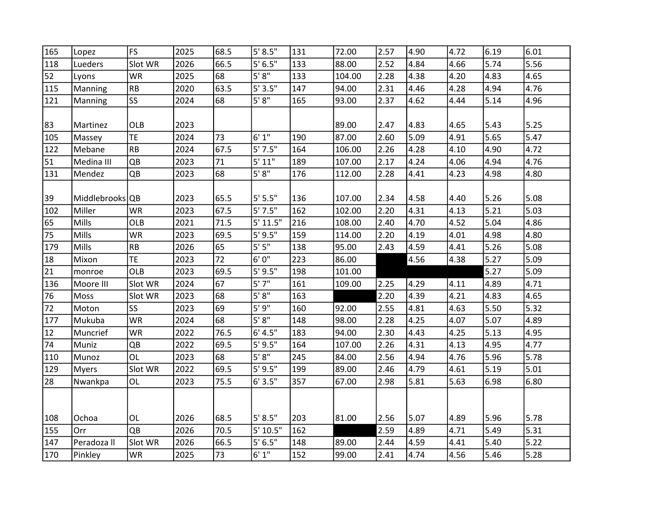| 165 | Lopez           | <b>FS</b>  | 2025 | 68.5 | 5' 8.5''  | 131 | 72.00  | 2.57 | 4.90 | 4.72 | 6.19 | 6.01 |
|-----|-----------------|------------|------|------|-----------|-----|--------|------|------|------|------|------|
| 118 | Lueders         | Slot WR    | 2026 | 66.5 | 5' 6.5''  | 133 | 88.00  | 2.52 | 4.84 | 4.66 | 5.74 | 5.56 |
| 52  | Lyons           | <b>WR</b>  | 2025 | 68   | 5' 8''    | 133 | 104.00 | 2.28 | 4.38 | 4.20 | 4.83 | 4.65 |
| 115 | Manning         | <b>RB</b>  | 2020 | 63.5 | 5'3.5''   | 147 | 94.00  | 2.31 | 4.46 | 4.28 | 4.94 | 4.76 |
| 121 | Manning         | <b>SS</b>  | 2024 | 68   | 5' 8''    | 165 | 93.00  | 2.37 | 4.62 | 4.44 | 5.14 | 4.96 |
|     |                 |            |      |      |           |     |        |      |      |      |      |      |
| 83  | Martinez        | <b>OLB</b> | 2023 |      |           |     | 89.00  | 2.47 | 4.83 | 4.65 | 5.43 | 5.25 |
| 105 | Massey          | <b>TE</b>  | 2024 | 73   | 6' 1''    | 190 | 87.00  | 2.60 | 5.09 | 4.91 | 5.65 | 5.47 |
| 122 | Mebane          | <b>RB</b>  | 2024 | 67.5 | 5'7.5''   | 164 | 106.00 | 2.26 | 4.28 | 4.10 | 4.90 | 4.72 |
| 51  | Medina III      | QB         | 2023 | 71   | 5' 11"    | 189 | 107.00 | 2.17 | 4.24 | 4.06 | 4.94 | 4.76 |
| 131 | Mendez          | QB         | 2023 | 68   | $5' 8"$   | 176 | 112.00 | 2.28 | 4.41 | 4.23 | 4.98 | 4.80 |
|     |                 |            |      |      |           |     |        |      |      |      |      |      |
| 39  | Middlebrooks QB |            | 2023 | 65.5 | 5'5.5"    | 136 | 107.00 | 2.34 | 4.58 | 4.40 | 5.26 | 5.08 |
| 102 | Miller          | <b>WR</b>  | 2023 | 67.5 | 5'7.5''   | 162 | 102.00 | 2.20 | 4.31 | 4.13 | 5.21 | 5.03 |
| 65  | Mills           | OLB        | 2021 | 71.5 | 5' 11.5"  | 216 | 108.00 | 2.40 | 4.70 | 4.52 | 5.04 | 4.86 |
| 75  | Mills           | <b>WR</b>  | 2023 | 69.5 | 5'9.5''   | 159 | 114.00 | 2.20 | 4.19 | 4.01 | 4.98 | 4.80 |
| 179 | Mills           | <b>RB</b>  | 2026 | 65   | $5' 5''$  | 138 | 95.00  | 2.43 | 4.59 | 4.41 | 5.26 | 5.08 |
| 18  | Mixon           | <b>TE</b>  | 2023 | 72   | 6'0''     | 223 | 86.00  |      | 4.56 | 4.38 | 5.27 | 5.09 |
| 21  | monroe          | OLB        | 2023 | 69.5 | $5'$ 9.5" | 198 | 101.00 |      |      |      | 5.27 | 5.09 |
| 136 | Moore III       | Slot WR    | 2024 | 67   | 5'7''     | 161 | 109.00 | 2.25 | 4.29 | 4.11 | 4.89 | 4.71 |
| 76  | Moss            | Slot WR    | 2023 | 68   | 5'8''     | 163 |        | 2.20 | 4.39 | 4.21 | 4.83 | 4.65 |
| 72  | Moton           | <b>SS</b>  | 2023 | 69   | 5'9''     | 160 | 92.00  | 2.55 | 4.81 | 4.63 | 5.50 | 5.32 |
| 177 | Mukuba          | <b>WR</b>  | 2024 | 68   | $5' 8"$   | 148 | 98.00  | 2.28 | 4.25 | 4.07 | 5.07 | 4.89 |
| 12  | Muncrief        | <b>WR</b>  | 2022 | 76.5 | 6' 4.5"   | 183 | 94.00  | 2.30 | 4.43 | 4.25 | 5.13 | 4.95 |
| 74  | Muniz           | QB         | 2022 | 69.5 | $5'$ 9.5" | 164 | 107.00 | 2.26 | 4.31 | 4.13 | 4.95 | 4.77 |
| 110 | Munoz           | <b>OL</b>  | 2023 | 68   | 5'8''     | 245 | 84.00  | 2.56 | 4.94 | 4.76 | 5.96 | 5.78 |
| 129 | <b>Myers</b>    | Slot WR    | 2022 | 69.5 | $5'$ 9.5" | 199 | 89.00  | 2.46 | 4.79 | 4.61 | 5.19 | 5.01 |
| 28  | Nwankpa         | OL         | 2023 | 75.5 | 6'3.5"    | 357 | 67.00  | 2.98 | 5.81 | 5.63 | 6.98 | 6.80 |
|     |                 |            |      |      |           |     |        |      |      |      |      |      |
|     |                 |            |      |      |           |     |        |      |      |      |      |      |
| 108 | Ochoa           | OL         | 2026 | 68.5 | 5' 8.5"   | 203 | 81.00  | 2.56 | 5.07 | 4.89 | 5.96 | 5.78 |
| 155 | Orr             | QB         | 2026 | 70.5 | 5' 10.5"  | 162 |        | 2.59 | 4.89 | 4.71 | 5.49 | 5.31 |
| 147 | Peradoza II     | Slot WR    | 2026 | 66.5 | 5' 6.5''  | 148 | 89.00  | 2.44 | 4.59 | 4.41 | 5.40 | 5.22 |
| 170 | Pinkley         | WR         | 2025 | 73   | 6'1''     | 152 | 99.00  | 2.41 | 4.74 | 4.56 | 5.46 | 5.28 |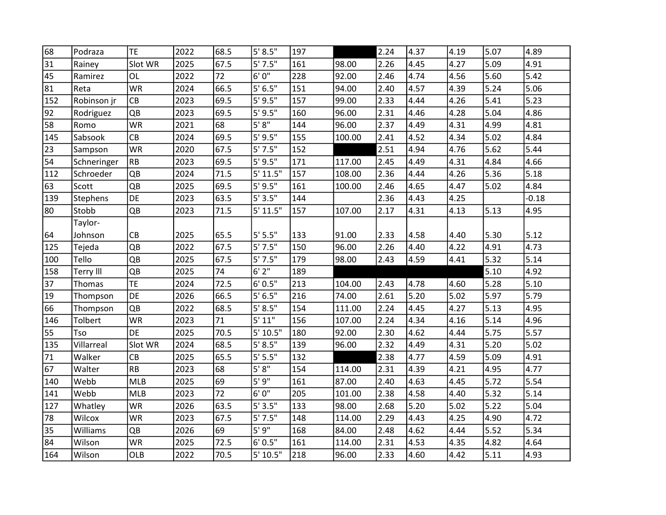| 68  | Podraza          | <b>TE</b> | 2022 | 68.5 | 5' 8.5''  | 197 |        | 2.24 | 4.37 | 4.19 | 5.07 | 4.89    |
|-----|------------------|-----------|------|------|-----------|-----|--------|------|------|------|------|---------|
| 31  | Rainey           | Slot WR   | 2025 | 67.5 | 5'7.5''   | 161 | 98.00  | 2.26 | 4.45 | 4.27 | 5.09 | 4.91    |
| 45  | Ramirez          | OL        | 2022 | 72   | 6'0''     | 228 | 92.00  | 2.46 | 4.74 | 4.56 | 5.60 | 5.42    |
| 81  | Reta             | <b>WR</b> | 2024 | 66.5 | 5'6.5''   | 151 | 94.00  | 2.40 | 4.57 | 4.39 | 5.24 | 5.06    |
| 152 | Robinson jr      | CB        | 2023 | 69.5 | $5'$ 9.5" | 157 | 99.00  | 2.33 | 4.44 | 4.26 | 5.41 | 5.23    |
| 92  | Rodriguez        | QB        | 2023 | 69.5 | 5'9.5''   | 160 | 96.00  | 2.31 | 4.46 | 4.28 | 5.04 | 4.86    |
| 58  | Romo             | <b>WR</b> | 2021 | 68   | 5' 8''    | 144 | 96.00  | 2.37 | 4.49 | 4.31 | 4.99 | 4.81    |
| 145 | Sabsook          | СB        | 2024 | 69.5 | $5'$ 9.5" | 155 | 100.00 | 2.41 | 4.52 | 4.34 | 5.02 | 4.84    |
| 23  | Sampson          | <b>WR</b> | 2020 | 67.5 | 5'7.5''   | 152 |        | 2.51 | 4.94 | 4.76 | 5.62 | 5.44    |
| 54  | Schneringer      | RB        | 2023 | 69.5 | 5'9.5''   | 171 | 117.00 | 2.45 | 4.49 | 4.31 | 4.84 | 4.66    |
| 112 | Schroeder        | QB        | 2024 | 71.5 | 5' 11.5"  | 157 | 108.00 | 2.36 | 4.44 | 4.26 | 5.36 | 5.18    |
| 63  | Scott            | QB        | 2025 | 69.5 | 5'9.5''   | 161 | 100.00 | 2.46 | 4.65 | 4.47 | 5.02 | 4.84    |
| 139 | Stephens         | DE        | 2023 | 63.5 | 5'3.5''   | 144 |        | 2.36 | 4.43 | 4.25 |      | $-0.18$ |
| 80  | Stobb            | QB        | 2023 | 71.5 | 5' 11.5"  | 157 | 107.00 | 2.17 | 4.31 | 4.13 | 5.13 | 4.95    |
|     | Taylor-          |           |      |      |           |     |        |      |      |      |      |         |
| 64  | Johnson          | CB        | 2025 | 65.5 | 5'5.5"    | 133 | 91.00  | 2.33 | 4.58 | 4.40 | 5.30 | 5.12    |
| 125 | Tejeda           | QB        | 2022 | 67.5 | 5'7.5''   | 150 | 96.00  | 2.26 | 4.40 | 4.22 | 4.91 | 4.73    |
| 100 | Tello            | QB        | 2025 | 67.5 | 5'7.5''   | 179 | 98.00  | 2.43 | 4.59 | 4.41 | 5.32 | 5.14    |
| 158 | <b>Terry III</b> | QB        | 2025 | 74   | 6'2''     | 189 |        |      |      |      | 5.10 | 4.92    |
| 37  | Thomas           | TE        | 2024 | 72.5 | 6' 0.5"   | 213 | 104.00 | 2.43 | 4.78 | 4.60 | 5.28 | 5.10    |
| 19  | Thompson         | DE        | 2026 | 66.5 | 5' 6.5''  | 216 | 74.00  | 2.61 | 5.20 | 5.02 | 5.97 | 5.79    |
| 66  | Thompson         | QB        | 2022 | 68.5 | 5' 8.5''  | 154 | 111.00 | 2.24 | 4.45 | 4.27 | 5.13 | 4.95    |
| 146 | Tolbert          | <b>WR</b> | 2023 | 71   | 5' 11"    | 156 | 107.00 | 2.24 | 4.34 | 4.16 | 5.14 | 4.96    |
| 55  | Tso              | DE        | 2025 | 70.5 | 5' 10.5"  | 180 | 92.00  | 2.30 | 4.62 | 4.44 | 5.75 | 5.57    |
| 135 | Villarreal       | Slot WR   | 2024 | 68.5 | 5' 8.5''  | 139 | 96.00  | 2.32 | 4.49 | 4.31 | 5.20 | 5.02    |
| 71  | Walker           | CB        | 2025 | 65.5 | 5' 5.5"   | 132 |        | 2.38 | 4.77 | 4.59 | 5.09 | 4.91    |
| 67  | Walter           | RB        | 2023 | 68   | 5' 8''    | 154 | 114.00 | 2.31 | 4.39 | 4.21 | 4.95 | 4.77    |
| 140 | Webb             | MLB       | 2025 | 69   | 5'9''     | 161 | 87.00  | 2.40 | 4.63 | 4.45 | 5.72 | 5.54    |
| 141 | Webb             | MLB       | 2023 | 72   | 6'0''     | 205 | 101.00 | 2.38 | 4.58 | 4.40 | 5.32 | 5.14    |
| 127 | Whatley          | <b>WR</b> | 2026 | 63.5 | 5'3.5''   | 133 | 98.00  | 2.68 | 5.20 | 5.02 | 5.22 | 5.04    |
| 78  | Wilcox           | <b>WR</b> | 2023 | 67.5 | 5'7.5''   | 148 | 114.00 | 2.29 | 4.43 | 4.25 | 4.90 | 4.72    |
| 35  | Williams         | QB        | 2026 | 69   | 5' 9"     | 168 | 84.00  | 2.48 | 4.62 | 4.44 | 5.52 | 5.34    |
| 84  | Wilson           | <b>WR</b> | 2025 | 72.5 | 6' 0.5"   | 161 | 114.00 | 2.31 | 4.53 | 4.35 | 4.82 | 4.64    |
| 164 | Wilson           | OLB       | 2022 | 70.5 | 5' 10.5"  | 218 | 96.00  | 2.33 | 4.60 | 4.42 | 5.11 | 4.93    |